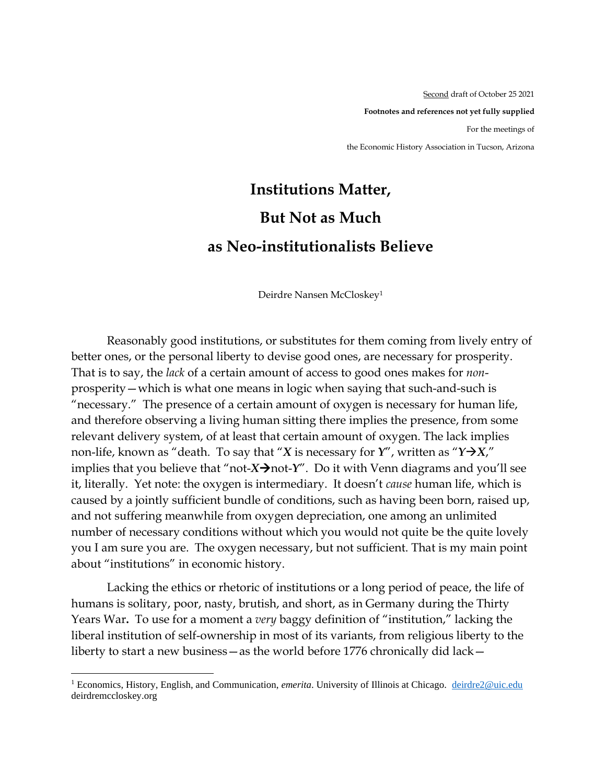Second draft of October 25 2021 **Footnotes and references not yet fully supplied** For the meetings of the Economic History Association in Tucson, Arizona

## **Institutions Matter, But Not as Much as Neo-institutionalists Believe**

Deirdre Nansen McCloskey<sup>1</sup>

Reasonably good institutions, or substitutes for them coming from lively entry of better ones, or the personal liberty to devise good ones, are necessary for prosperity. That is to say, the *lack* of a certain amount of access to good ones makes for *non*prosperity—which is what one means in logic when saying that such-and-such is "necessary." The presence of a certain amount of oxygen is necessary for human life, and therefore observing a living human sitting there implies the presence, from some relevant delivery system, of at least that certain amount of oxygen. The lack implies non-life, known as "death. To say that "*X* is necessary for  $Y''$ , written as " $Y \rightarrow X$ ", implies that you believe that "not- $X\rightarrow$ not- $Y''$ . Do it with Venn diagrams and you'll see it, literally. Yet note: the oxygen is intermediary. It doesn't *cause* human life, which is caused by a jointly sufficient bundle of conditions, such as having been born, raised up, and not suffering meanwhile from oxygen depreciation, one among an unlimited number of necessary conditions without which you would not quite be the quite lovely you I am sure you are. The oxygen necessary, but not sufficient. That is my main point about "institutions" in economic history.

Lacking the ethics or rhetoric of institutions or a long period of peace, the life of humans is solitary, poor, nasty, brutish, and short, as in Germany during the Thirty Years War**.** To use for a moment a *very* baggy definition of "institution," lacking the liberal institution of self-ownership in most of its variants, from religious liberty to the liberty to start a new business—as the world before 1776 chronically did lack—

<sup>1</sup> Economics, History, English, and Communication, *emerita*. University of Illinois at Chicago. [deirdre2@uic.edu](mailto:deirdre2@uic.edu)  deirdremccloskey.org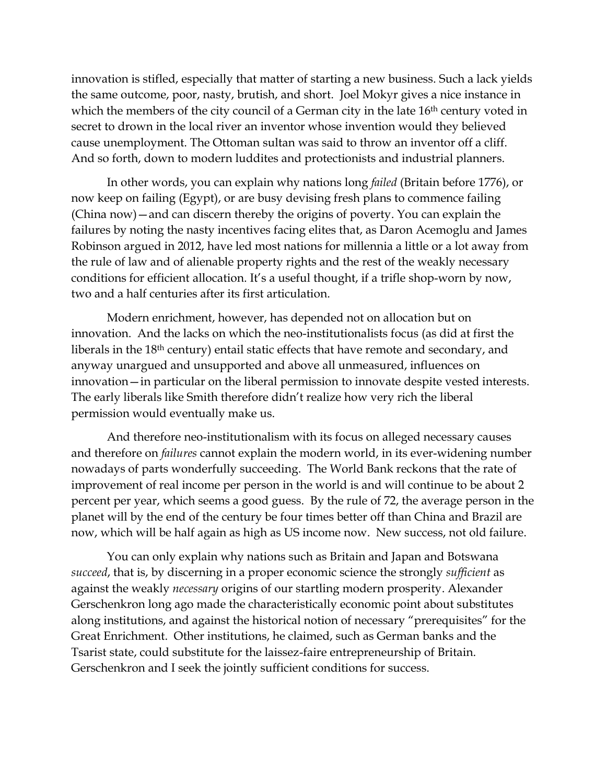innovation is stifled, especially that matter of starting a new business. Such a lack yields the same outcome, poor, nasty, brutish, and short. Joel Mokyr gives a nice instance in which the members of the city council of a German city in the late 16<sup>th</sup> century voted in secret to drown in the local river an inventor whose invention would they believed cause unemployment. The Ottoman sultan was said to throw an inventor off a cliff. And so forth, down to modern luddites and protectionists and industrial planners.

In other words, you can explain why nations long *failed* (Britain before 1776), or now keep on failing (Egypt), or are busy devising fresh plans to commence failing (China now)—and can discern thereby the origins of poverty. You can explain the failures by noting the nasty incentives facing elites that, as Daron Acemoglu and James Robinson argued in 2012, have led most nations for millennia a little or a lot away from the rule of law and of alienable property rights and the rest of the weakly necessary conditions for efficient allocation. It's a useful thought, if a trifle shop-worn by now, two and a half centuries after its first articulation.

Modern enrichment, however, has depended not on allocation but on innovation. And the lacks on which the neo-institutionalists focus (as did at first the liberals in the 18th century) entail static effects that have remote and secondary, and anyway unargued and unsupported and above all unmeasured, influences on innovation—in particular on the liberal permission to innovate despite vested interests. The early liberals like Smith therefore didn't realize how very rich the liberal permission would eventually make us.

And therefore neo-institutionalism with its focus on alleged necessary causes and therefore on *failures* cannot explain the modern world, in its ever-widening number nowadays of parts wonderfully succeeding. The World Bank reckons that the rate of improvement of real income per person in the world is and will continue to be about 2 percent per year, which seems a good guess. By the rule of 72, the average person in the planet will by the end of the century be four times better off than China and Brazil are now, which will be half again as high as US income now. New success, not old failure.

You can only explain why nations such as Britain and Japan and Botswana *succeed*, that is, by discerning in a proper economic science the strongly *sufficient* as against the weakly *necessary* origins of our startling modern prosperity. Alexander Gerschenkron long ago made the characteristically economic point about substitutes along institutions, and against the historical notion of necessary "prerequisites" for the Great Enrichment. Other institutions, he claimed, such as German banks and the Tsarist state, could substitute for the laissez-faire entrepreneurship of Britain. Gerschenkron and I seek the jointly sufficient conditions for success.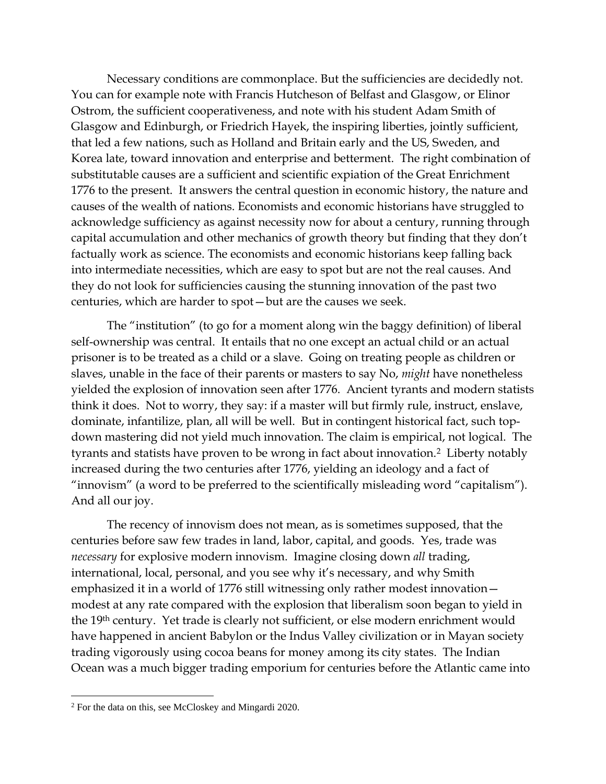Necessary conditions are commonplace. But the sufficiencies are decidedly not. You can for example note with Francis Hutcheson of Belfast and Glasgow, or Elinor Ostrom, the sufficient cooperativeness, and note with his student Adam Smith of Glasgow and Edinburgh, or Friedrich Hayek, the inspiring liberties, jointly sufficient, that led a few nations, such as Holland and Britain early and the US, Sweden, and Korea late, toward innovation and enterprise and betterment. The right combination of substitutable causes are a sufficient and scientific expiation of the Great Enrichment 1776 to the present. It answers the central question in economic history, the nature and causes of the wealth of nations. Economists and economic historians have struggled to acknowledge sufficiency as against necessity now for about a century, running through capital accumulation and other mechanics of growth theory but finding that they don't factually work as science. The economists and economic historians keep falling back into intermediate necessities, which are easy to spot but are not the real causes. And they do not look for sufficiencies causing the stunning innovation of the past two centuries, which are harder to spot—but are the causes we seek.

The "institution" (to go for a moment along win the baggy definition) of liberal self-ownership was central. It entails that no one except an actual child or an actual prisoner is to be treated as a child or a slave. Going on treating people as children or slaves, unable in the face of their parents or masters to say No, *might* have nonetheless yielded the explosion of innovation seen after 1776. Ancient tyrants and modern statists think it does. Not to worry, they say: if a master will but firmly rule, instruct, enslave, dominate, infantilize, plan, all will be well. But in contingent historical fact, such topdown mastering did not yield much innovation. The claim is empirical, not logical. The tyrants and statists have proven to be wrong in fact about innovation.2 Liberty notably increased during the two centuries after 1776, yielding an ideology and a fact of "innovism" (a word to be preferred to the scientifically misleading word "capitalism"). And all our joy.

The recency of innovism does not mean, as is sometimes supposed, that the centuries before saw few trades in land, labor, capital, and goods. Yes, trade was *necessary* for explosive modern innovism. Imagine closing down *all* trading, international, local, personal, and you see why it's necessary, and why Smith emphasized it in a world of 1776 still witnessing only rather modest innovation modest at any rate compared with the explosion that liberalism soon began to yield in the 19th century. Yet trade is clearly not sufficient, or else modern enrichment would have happened in ancient Babylon or the Indus Valley civilization or in Mayan society trading vigorously using cocoa beans for money among its city states. The Indian Ocean was a much bigger trading emporium for centuries before the Atlantic came into

<sup>2</sup> For the data on this, see McCloskey and Mingardi 2020.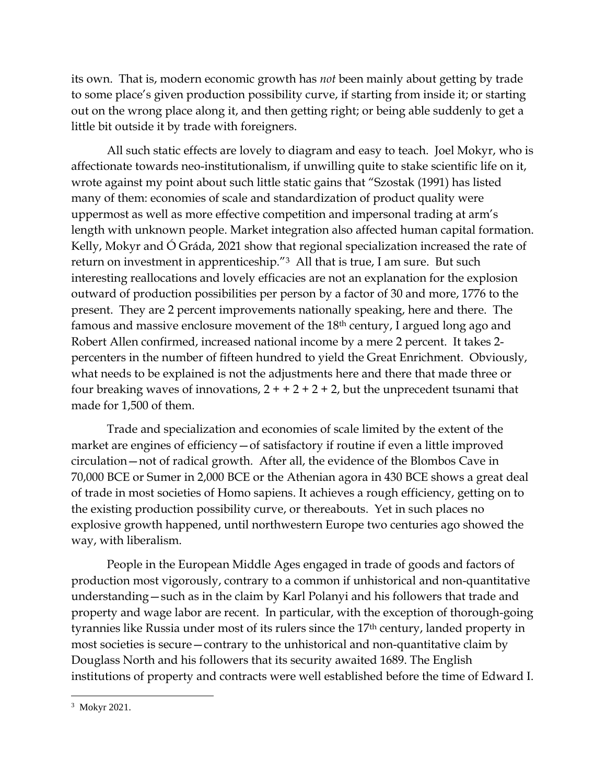its own. That is, modern economic growth has *not* been mainly about getting by trade to some place's given production possibility curve, if starting from inside it; or starting out on the wrong place along it, and then getting right; or being able suddenly to get a little bit outside it by trade with foreigners.

All such static effects are lovely to diagram and easy to teach. Joel Mokyr, who is affectionate towards neo-institutionalism, if unwilling quite to stake scientific life on it, wrote against my point about such little static gains that "Szostak (1991) has listed many of them: economies of scale and standardization of product quality were uppermost as well as more effective competition and impersonal trading at arm's length with unknown people. Market integration also affected human capital formation. Kelly, Mokyr and Ó Gráda, 2021 show that regional specialization increased the rate of return on investment in apprenticeship."3 All that is true, I am sure. But such interesting reallocations and lovely efficacies are not an explanation for the explosion outward of production possibilities per person by a factor of 30 and more, 1776 to the present. They are 2 percent improvements nationally speaking, here and there. The famous and massive enclosure movement of the 18th century, I argued long ago and Robert Allen confirmed, increased national income by a mere 2 percent. It takes 2 percenters in the number of fifteen hundred to yield the Great Enrichment. Obviously, what needs to be explained is not the adjustments here and there that made three or four breaking waves of innovations,  $2 + 2 + 2 + 2$ , but the unprecedent tsunami that made for 1,500 of them.

Trade and specialization and economies of scale limited by the extent of the market are engines of efficiency – of satisfactory if routine if even a little improved circulation—not of radical growth. After all, the evidence of the Blombos Cave in 70,000 BCE or Sumer in 2,000 BCE or the Athenian agora in 430 BCE shows a great deal of trade in most societies of Homo sapiens. It achieves a rough efficiency, getting on to the existing production possibility curve, or thereabouts. Yet in such places no explosive growth happened, until northwestern Europe two centuries ago showed the way, with liberalism.

People in the European Middle Ages engaged in trade of goods and factors of production most vigorously, contrary to a common if unhistorical and non-quantitative understanding—such as in the claim by Karl Polanyi and his followers that trade and property and wage labor are recent. In particular, with the exception of thorough-going tyrannies like Russia under most of its rulers since the 17<sup>th</sup> century, landed property in most societies is secure—contrary to the unhistorical and non-quantitative claim by Douglass North and his followers that its security awaited 1689. The English institutions of property and contracts were well established before the time of Edward I.

<sup>&</sup>lt;sup>3</sup> Mokyr 2021.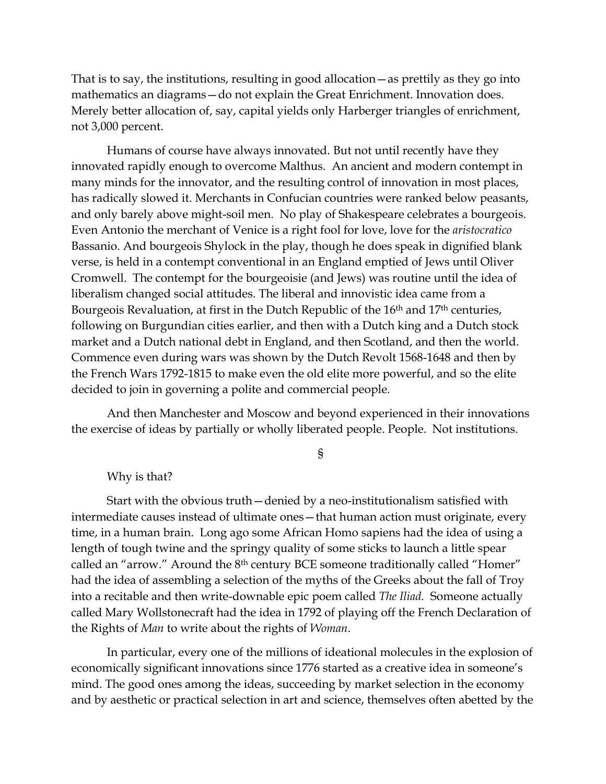That is to say, the institutions, resulting in good allocation—as prettily as they go into mathematics an diagrams—do not explain the Great Enrichment. Innovation does. Merely better allocation of, say, capital yields only Harberger triangles of enrichment, not 3,000 percent.

Humans of course have always innovated. But not until recently have they innovated rapidly enough to overcome Malthus. An ancient and modern contempt in many minds for the innovator, and the resulting control of innovation in most places, has radically slowed it. Merchants in Confucian countries were ranked below peasants, and only barely above might-soil men. No play of Shakespeare celebrates a bourgeois. Even Antonio the merchant of Venice is a right fool for love, love for the *aristocratico* Bassanio. And bourgeois Shylock in the play, though he does speak in dignified blank verse, is held in a contempt conventional in an England emptied of Jews until Oliver Cromwell. The contempt for the bourgeoisie (and Jews) was routine until the idea of liberalism changed social attitudes. The liberal and innovistic idea came from a Bourgeois Revaluation, at first in the Dutch Republic of the 16<sup>th</sup> and 17<sup>th</sup> centuries, following on Burgundian cities earlier, and then with a Dutch king and a Dutch stock market and a Dutch national debt in England, and then Scotland, and then the world. Commence even during wars was shown by the Dutch Revolt 1568-1648 and then by the French Wars 1792-1815 to make even the old elite more powerful, and so the elite decided to join in governing a polite and commercial people.

And then Manchester and Moscow and beyond experienced in their innovations the exercise of ideas by partially or wholly liberated people. People. Not institutions.

§

## Why is that?

Start with the obvious truth—denied by a neo-institutionalism satisfied with intermediate causes instead of ultimate ones—that human action must originate, every time, in a human brain. Long ago some African Homo sapiens had the idea of using a length of tough twine and the springy quality of some sticks to launch a little spear called an "arrow." Around the 8<sup>th</sup> century BCE someone traditionally called "Homer" had the idea of assembling a selection of the myths of the Greeks about the fall of Troy into a recitable and then write-downable epic poem called *The Iliad.* Someone actually called Mary Wollstonecraft had the idea in 1792 of playing off the French Declaration of the Rights of *Man* to write about the rights of *Woman*.

In particular, every one of the millions of ideational molecules in the explosion of economically significant innovations since 1776 started as a creative idea in someone's mind. The good ones among the ideas, succeeding by market selection in the economy and by aesthetic or practical selection in art and science, themselves often abetted by the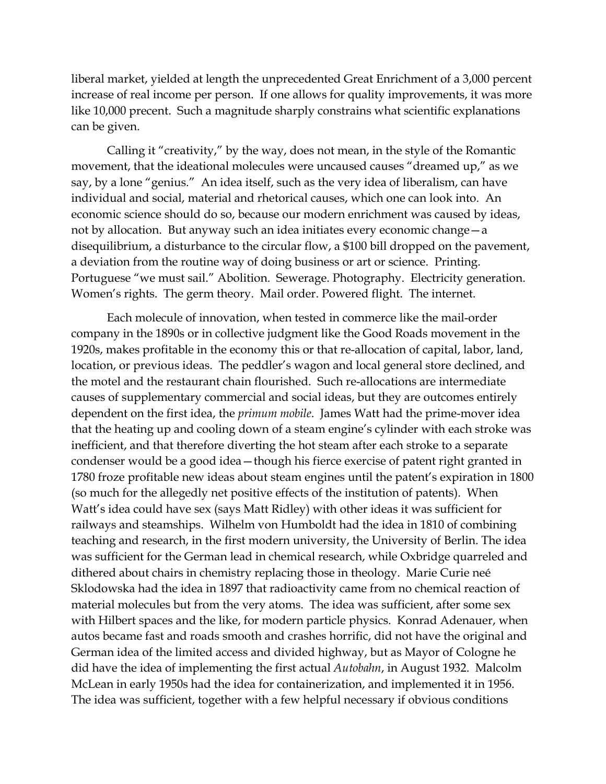liberal market, yielded at length the unprecedented Great Enrichment of a 3,000 percent increase of real income per person. If one allows for quality improvements, it was more like 10,000 precent. Such a magnitude sharply constrains what scientific explanations can be given.

Calling it "creativity," by the way, does not mean, in the style of the Romantic movement, that the ideational molecules were uncaused causes "dreamed up," as we say, by a lone "genius." An idea itself, such as the very idea of liberalism, can have individual and social, material and rhetorical causes, which one can look into. An economic science should do so, because our modern enrichment was caused by ideas, not by allocation. But anyway such an idea initiates every economic change—a disequilibrium, a disturbance to the circular flow, a \$100 bill dropped on the pavement, a deviation from the routine way of doing business or art or science. Printing. Portuguese "we must sail." Abolition. Sewerage. Photography. Electricity generation. Women's rights. The germ theory. Mail order. Powered flight. The internet.

Each molecule of innovation, when tested in commerce like the mail-order company in the 1890s or in collective judgment like the Good Roads movement in the 1920s, makes profitable in the economy this or that re-allocation of capital, labor, land, location, or previous ideas. The peddler's wagon and local general store declined, and the motel and the restaurant chain flourished. Such re-allocations are intermediate causes of supplementary commercial and social ideas, but they are outcomes entirely dependent on the first idea, the *primum mobile*. James Watt had the prime-mover idea that the heating up and cooling down of a steam engine's cylinder with each stroke was inefficient, and that therefore diverting the hot steam after each stroke to a separate condenser would be a good idea—though his fierce exercise of patent right granted in 1780 froze profitable new ideas about steam engines until the patent's expiration in 1800 (so much for the allegedly net positive effects of the institution of patents). When Watt's idea could have sex (says Matt Ridley) with other ideas it was sufficient for railways and steamships. Wilhelm von Humboldt had the idea in 1810 of combining teaching and research, in the first modern university, the University of Berlin. The idea was sufficient for the German lead in chemical research, while Oxbridge quarreled and dithered about chairs in chemistry replacing those in theology. Marie Curie neé Sklodowska had the idea in 1897 that radioactivity came from no chemical reaction of material molecules but from the very atoms. The idea was sufficient, after some sex with Hilbert spaces and the like, for modern particle physics. Konrad Adenauer, when autos became fast and roads smooth and crashes horrific, did not have the original and German idea of the limited access and divided highway, but as Mayor of Cologne he did have the idea of implementing the first actual *Autobahn*, in August 1932. Malcolm McLean in early 1950s had the idea for containerization, and implemented it in 1956. The idea was sufficient, together with a few helpful necessary if obvious conditions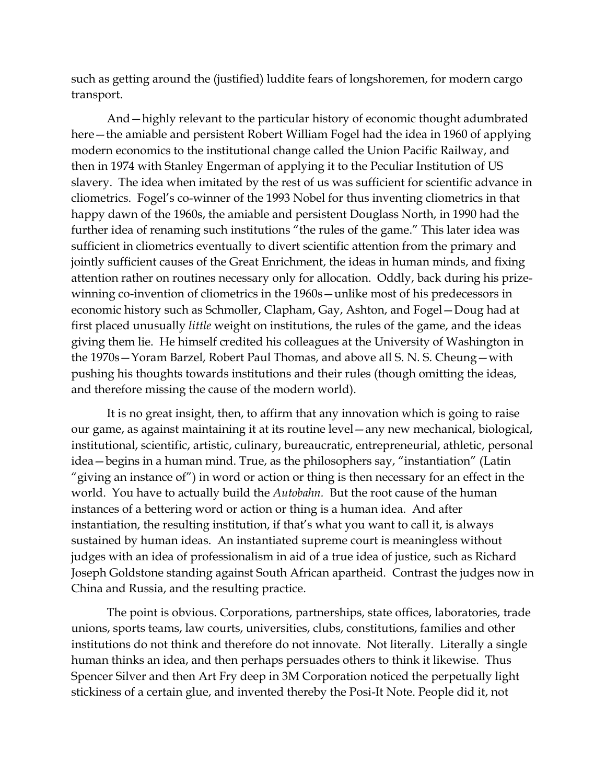such as getting around the (justified) luddite fears of longshoremen, for modern cargo transport.

And—highly relevant to the particular history of economic thought adumbrated here—the amiable and persistent Robert William Fogel had the idea in 1960 of applying modern economics to the institutional change called the Union Pacific Railway, and then in 1974 with Stanley Engerman of applying it to the Peculiar Institution of US slavery. The idea when imitated by the rest of us was sufficient for scientific advance in cliometrics. Fogel's co-winner of the 1993 Nobel for thus inventing cliometrics in that happy dawn of the 1960s, the amiable and persistent Douglass North, in 1990 had the further idea of renaming such institutions "the rules of the game." This later idea was sufficient in cliometrics eventually to divert scientific attention from the primary and jointly sufficient causes of the Great Enrichment, the ideas in human minds, and fixing attention rather on routines necessary only for allocation. Oddly, back during his prizewinning co-invention of cliometrics in the 1960s—unlike most of his predecessors in economic history such as Schmoller, Clapham, Gay, Ashton, and Fogel—Doug had at first placed unusually *little* weight on institutions, the rules of the game, and the ideas giving them lie. He himself credited his colleagues at the University of Washington in the 1970s—Yoram Barzel, Robert Paul Thomas, and above all S. N. S. Cheung—with pushing his thoughts towards institutions and their rules (though omitting the ideas, and therefore missing the cause of the modern world).

It is no great insight, then, to affirm that any innovation which is going to raise our game, as against maintaining it at its routine level—any new mechanical, biological, institutional, scientific, artistic, culinary, bureaucratic, entrepreneurial, athletic, personal idea—begins in a human mind. True, as the philosophers say, "instantiation" (Latin "giving an instance of") in word or action or thing is then necessary for an effect in the world. You have to actually build the *Autobahn.* But the root cause of the human instances of a bettering word or action or thing is a human idea. And after instantiation, the resulting institution, if that's what you want to call it, is always sustained by human ideas. An instantiated supreme court is meaningless without judges with an idea of professionalism in aid of a true idea of justice, such as Richard Joseph Goldstone standing against South African apartheid. Contrast the judges now in China and Russia, and the resulting practice.

The point is obvious. Corporations, partnerships, state offices, laboratories, trade unions, sports teams, law courts, universities, clubs, constitutions, families and other institutions do not think and therefore do not innovate. Not literally. Literally a single human thinks an idea, and then perhaps persuades others to think it likewise. Thus Spencer Silver and then Art Fry deep in 3M Corporation noticed the perpetually light stickiness of a certain glue, and invented thereby the Posi-It Note. People did it, not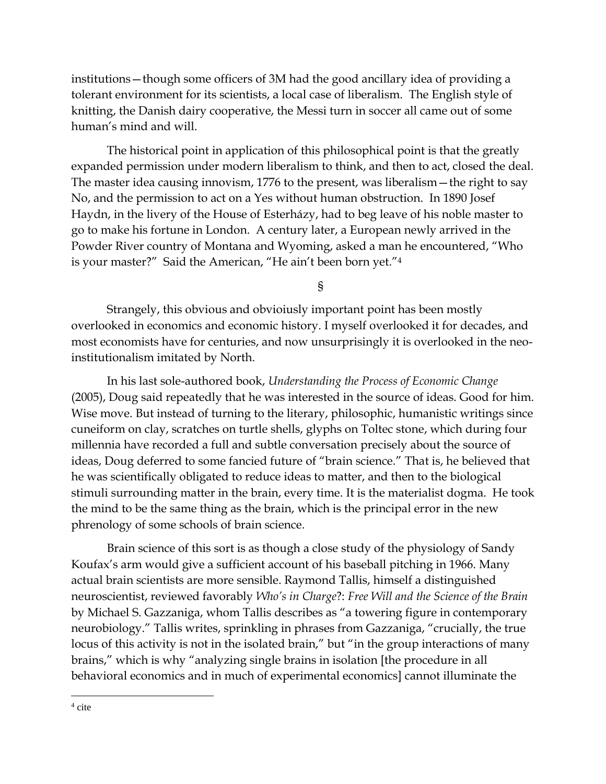institutions—though some officers of 3M had the good ancillary idea of providing a tolerant environment for its scientists, a local case of liberalism. The English style of knitting, the Danish dairy cooperative, the Messi turn in soccer all came out of some human's mind and will.

The historical point in application of this philosophical point is that the greatly expanded permission under modern liberalism to think, and then to act, closed the deal. The master idea causing innovism, 1776 to the present, was liberalism—the right to say No, and the permission to act on a Yes without human obstruction. In 1890 Josef Haydn, in the livery of the House of Esterházy, had to beg leave of his noble master to go to make his fortune in London. A century later, a European newly arrived in the Powder River country of Montana and Wyoming, asked a man he encountered, "Who is your master?" Said the American, "He ain't been born yet."<sup>4</sup>

§

Strangely, this obvious and obvioiusly important point has been mostly overlooked in economics and economic history. I myself overlooked it for decades, and most economists have for centuries, and now unsurprisingly it is overlooked in the neoinstitutionalism imitated by North.

In his last sole-authored book, *Understanding the Process of Economic Change*  (2005), Doug said repeatedly that he was interested in the source of ideas. Good for him. Wise move. But instead of turning to the literary, philosophic, humanistic writings since cuneiform on clay, scratches on turtle shells, glyphs on Toltec stone, which during four millennia have recorded a full and subtle conversation precisely about the source of ideas, Doug deferred to some fancied future of "brain science." That is, he believed that he was scientifically obligated to reduce ideas to matter, and then to the biological stimuli surrounding matter in the brain, every time. It is the materialist dogma. He took the mind to be the same thing as the brain, which is the principal error in the new phrenology of some schools of brain science.

Brain science of this sort is as though a close study of the physiology of Sandy Koufax's arm would give a sufficient account of his baseball pitching in 1966. Many actual brain scientists are more sensible. Raymond Tallis, himself a distinguished neuroscientist, reviewed favorably *Who's in Charge*?: *Free Will and the Science of the Brain* by Michael S. Gazzaniga, whom Tallis describes as "a towering figure in contemporary neurobiology." Tallis writes, sprinkling in phrases from Gazzaniga, "crucially, the true locus of this activity is not in the isolated brain," but "in the group interactions of many brains," which is why "analyzing single brains in isolation [the procedure in all behavioral economics and in much of experimental economics] cannot illuminate the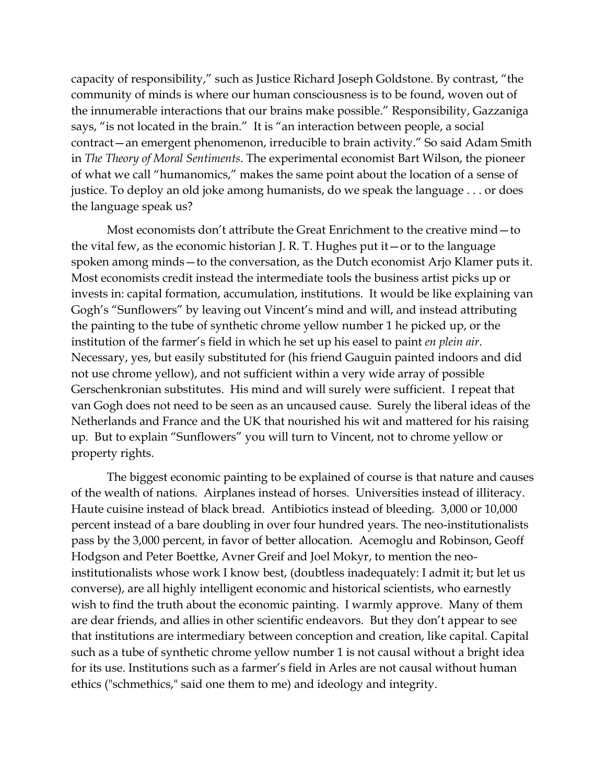capacity of responsibility," such as Justice Richard Joseph Goldstone. By contrast, "the community of minds is where our human consciousness is to be found, woven out of the innumerable interactions that our brains make possible." Responsibility, Gazzaniga says, "is not located in the brain." It is "an interaction between people, a social contract—an emergent phenomenon, irreducible to brain activity." So said Adam Smith in *The Theory of Moral Sentiments*. The experimental economist Bart Wilson, the pioneer of what we call "humanomics," makes the same point about the location of a sense of justice. To deploy an old joke among humanists, do we speak the language . . . or does the language speak us?

Most economists don't attribute the Great Enrichment to the creative mind—to the vital few, as the economic historian J. R. T. Hughes put it—or to the language spoken among minds—to the conversation, as the Dutch economist Arjo Klamer puts it. Most economists credit instead the intermediate tools the business artist picks up or invests in: capital formation, accumulation, institutions. It would be like explaining van Gogh's "Sunflowers" by leaving out Vincent's mind and will, and instead attributing the painting to the tube of synthetic chrome yellow number 1 he picked up, or the institution of the farmer's field in which he set up his easel to paint *en plein air*. Necessary, yes, but easily substituted for (his friend Gauguin painted indoors and did not use chrome yellow), and not sufficient within a very wide array of possible Gerschenkronian substitutes. His mind and will surely were sufficient. I repeat that van Gogh does not need to be seen as an uncaused cause. Surely the liberal ideas of the Netherlands and France and the UK that nourished his wit and mattered for his raising up. But to explain "Sunflowers" you will turn to Vincent, not to chrome yellow or property rights.

The biggest economic painting to be explained of course is that nature and causes of the wealth of nations. Airplanes instead of horses. Universities instead of illiteracy. Haute cuisine instead of black bread. Antibiotics instead of bleeding. 3,000 or 10,000 percent instead of a bare doubling in over four hundred years. The neo-institutionalists pass by the 3,000 percent, in favor of better allocation. Acemoglu and Robinson, Geoff Hodgson and Peter Boettke, Avner Greif and Joel Mokyr, to mention the neoinstitutionalists whose work I know best, (doubtless inadequately: I admit it; but let us converse), are all highly intelligent economic and historical scientists, who earnestly wish to find the truth about the economic painting. I warmly approve. Many of them are dear friends, and allies in other scientific endeavors. But they don't appear to see that institutions are intermediary between conception and creation, like capital. Capital such as a tube of synthetic chrome yellow number 1 is not causal without a bright idea for its use. Institutions such as a farmer's field in Arles are not causal without human ethics ("schmethics," said one them to me) and ideology and integrity.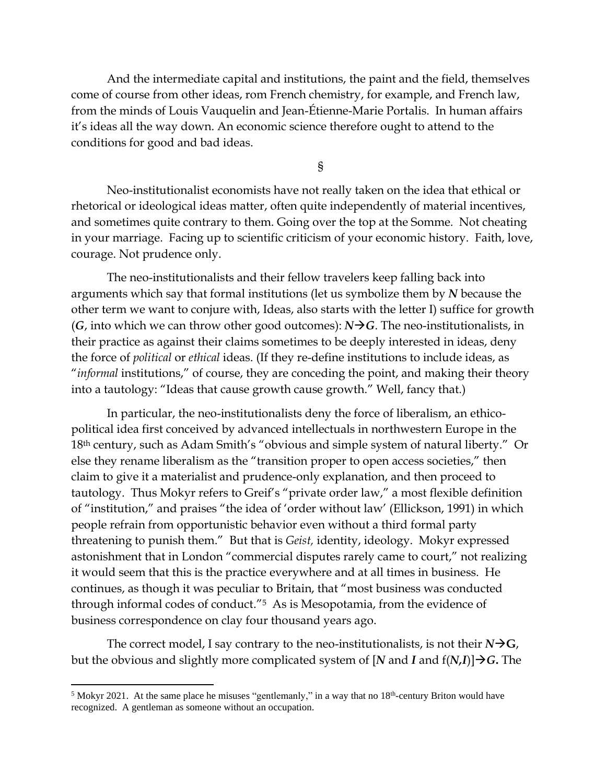And the intermediate capital and institutions, the paint and the field, themselves come of course from other ideas, rom French chemistry, for example, and French law, from the minds of Louis Vauquelin and Jean-Étienne-Marie Portalis. In human affairs it's ideas all the way down. An economic science therefore ought to attend to the conditions for good and bad ideas.

§

Neo-institutionalist economists have not really taken on the idea that ethical or rhetorical or ideological ideas matter, often quite independently of material incentives, and sometimes quite contrary to them. Going over the top at the Somme. Not cheating in your marriage. Facing up to scientific criticism of your economic history. Faith, love, courage. Not prudence only.

The neo-institutionalists and their fellow travelers keep falling back into arguments which say that formal institutions (let us symbolize them by *N* because the other term we want to conjure with, Ideas, also starts with the letter I) suffice for growth (*G*, into which we can throw other good outcomes):  $N \rightarrow G$ . The neo-institutionalists, in their practice as against their claims sometimes to be deeply interested in ideas, deny the force of *political* or *ethical* ideas. (If they re-define institutions to include ideas, as "*informal* institutions," of course, they are conceding the point, and making their theory into a tautology: "Ideas that cause growth cause growth." Well, fancy that.)

In particular, the neo-institutionalists deny the force of liberalism, an ethicopolitical idea first conceived by advanced intellectuals in northwestern Europe in the 18th century, such as Adam Smith's "obvious and simple system of natural liberty." Or else they rename liberalism as the "transition proper to open access societies," then claim to give it a materialist and prudence-only explanation, and then proceed to tautology. Thus Mokyr refers to Greif's "private order law," a most flexible definition of "institution," and praises "the idea of 'order without law' (Ellickson, 1991) in which people refrain from opportunistic behavior even without a third formal party threatening to punish them." But that is *Geist,* identity, ideology. Mokyr expressed astonishment that in London "commercial disputes rarely came to court," not realizing it would seem that this is the practice everywhere and at all times in business. He continues, as though it was peculiar to Britain, that "most business was conducted through informal codes of conduct."5 As is Mesopotamia, from the evidence of business correspondence on clay four thousand years ago.

The correct model, I say contrary to the neo-institutionalists, is not their  $N\rightarrow G$ , but the obvious and slightly more complicated system of [*N* and *I* and f(*N,I*)]→*G***.** The

<sup>&</sup>lt;sup>5</sup> Mokyr 2021. At the same place he misuses "gentlemanly," in a way that no  $18<sup>th</sup>$ -century Briton would have recognized. A gentleman as someone without an occupation.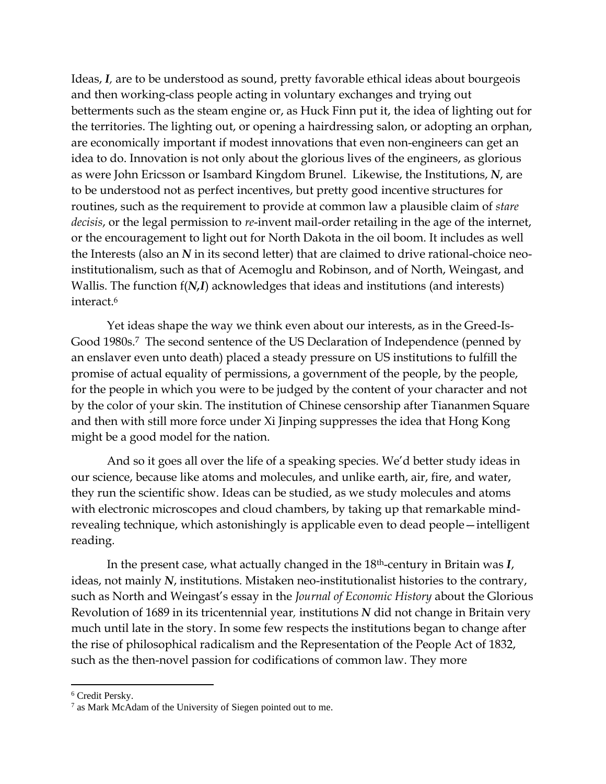Ideas, *I,* are to be understood as sound, pretty favorable ethical ideas about bourgeois and then working-class people acting in voluntary exchanges and trying out betterments such as the steam engine or, as Huck Finn put it, the idea of lighting out for the territories. The lighting out, or opening a hairdressing salon, or adopting an orphan, are economically important if modest innovations that even non-engineers can get an idea to do. Innovation is not only about the glorious lives of the engineers, as glorious as were John Ericsson or Isambard Kingdom Brunel. Likewise, the Institutions, *N*, are to be understood not as perfect incentives, but pretty good incentive structures for routines, such as the requirement to provide at common law a plausible claim of *stare decisis*, or the legal permission to *re*-invent mail-order retailing in the age of the internet, or the encouragement to light out for North Dakota in the oil boom. It includes as well the Interests (also an *N* in its second letter) that are claimed to drive rational-choice neoinstitutionalism, such as that of Acemoglu and Robinson, and of North, Weingast, and Wallis. The function f(*N,I*) acknowledges that ideas and institutions (and interests) interact.<sup>6</sup>

Yet ideas shape the way we think even about our interests, as in the Greed-Is-Good 1980s.<sup>7</sup> The second sentence of the US Declaration of Independence (penned by an enslaver even unto death) placed a steady pressure on US institutions to fulfill the promise of actual equality of permissions, a government of the people, by the people, for the people in which you were to be judged by the content of your character and not by the color of your skin. The institution of Chinese censorship after Tiananmen Square and then with still more force under Xi Jinping suppresses the idea that Hong Kong might be a good model for the nation.

And so it goes all over the life of a speaking species. We'd better study ideas in our science, because like atoms and molecules, and unlike earth, air, fire, and water, they run the scientific show. Ideas can be studied, as we study molecules and atoms with electronic microscopes and cloud chambers, by taking up that remarkable mindrevealing technique, which astonishingly is applicable even to dead people—intelligent reading.

In the present case, what actually changed in the 18th-century in Britain was *I*, ideas, not mainly *N*, institutions. Mistaken neo-institutionalist histories to the contrary, such as North and Weingast's essay in the *Journal of Economic History* about the Glorious Revolution of 1689 in its tricentennial year*,* institutions *N* did not change in Britain very much until late in the story. In some few respects the institutions began to change after the rise of philosophical radicalism and the Representation of the People Act of 1832, such as the then-novel passion for codifications of common law. They more

<sup>6</sup> Credit Persky.

<sup>&</sup>lt;sup>7</sup> as Mark McAdam of the University of Siegen pointed out to me.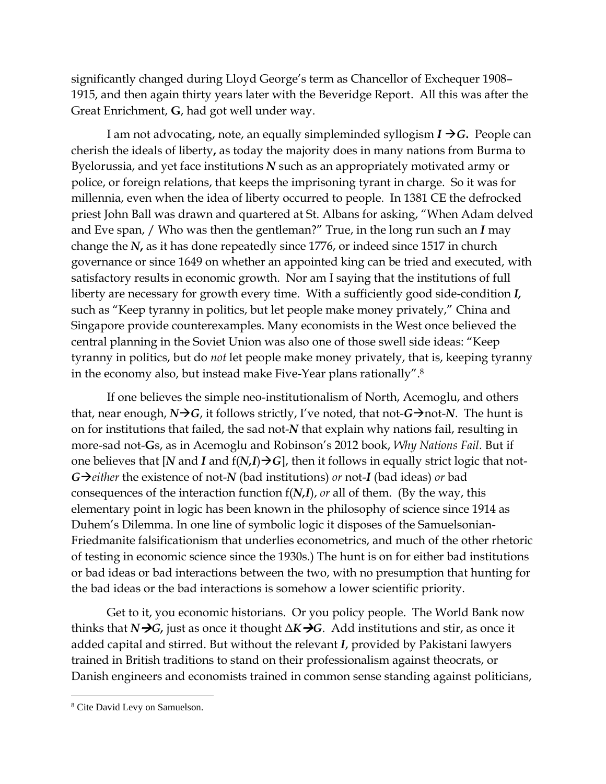significantly changed during Lloyd George's term as Chancellor of Exchequer 1908– 1915, and then again thirty years later with the Beveridge Report. All this was after the Great Enrichment, **G**, had got well under way.

I am not advocating, note, an equally simpleminded syllogism  $I \rightarrow G$ . People can cherish the ideals of liberty**,** as today the majority does in many nations from Burma to Byelorussia, and yet face institutions *N* such as an appropriately motivated army or police, or foreign relations, that keeps the imprisoning tyrant in charge. So it was for millennia, even when the idea of liberty occurred to people. In 1381 CE the defrocked priest John Ball was drawn and quartered at St. Albans for asking, "When Adam delved and Eve span, / Who was then the gentleman?" True, in the long run such an *I* may change the *N***,** as it has done repeatedly since 1776, or indeed since 1517 in church governance or since 1649 on whether an appointed king can be tried and executed, with satisfactory results in economic growth. Nor am I saying that the institutions of full liberty are necessary for growth every time. With a sufficiently good side-condition *I,*  such as "Keep tyranny in politics, but let people make money privately," China and Singapore provide counterexamples. Many economists in the West once believed the central planning in the Soviet Union was also one of those swell side ideas: "Keep tyranny in politics, but do *not* let people make money privately, that is, keeping tyranny in the economy also, but instead make Five-Year plans rationally". 8

If one believes the simple neo-institutionalism of North, Acemoglu, and others that, near enough,  $N\rightarrow G$ , it follows strictly, I've noted, that not- $G\rightarrow$ not-*N*. The hunt is on for institutions that failed, the sad not-*N* that explain why nations fail, resulting in more-sad not-**G**s, as in Acemoglu and Robinson's 2012 book, *Why Nations Fail*. But if one believes that [*N* and *I* and  $f(N,I) \rightarrow G$ ], then it follows in equally strict logic that not-*G*→*either* the existence of not-*N* (bad institutions) *or* not-*I* (bad ideas) *or* bad consequences of the interaction function f(*N,I*), *or* all of them. (By the way, this elementary point in logic has been known in the philosophy of science since 1914 as Duhem's Dilemma. In one line of symbolic logic it disposes of the Samuelsonian-Friedmanite falsificationism that underlies econometrics, and much of the other rhetoric of testing in economic science since the 1930s.) The hunt is on for either bad institutions or bad ideas or bad interactions between the two, with no presumption that hunting for the bad ideas or the bad interactions is somehow a lower scientific priority.

Get to it, you economic historians. Or you policy people. The World Bank now thinks that *N* $\rightarrow$ *G*, just as once it thought  $\Delta K \rightarrow G$ . Add institutions and stir, as once it added capital and stirred. But without the relevant *I*, provided by Pakistani lawyers trained in British traditions to stand on their professionalism against theocrats, or Danish engineers and economists trained in common sense standing against politicians,

<sup>8</sup> Cite David Levy on Samuelson.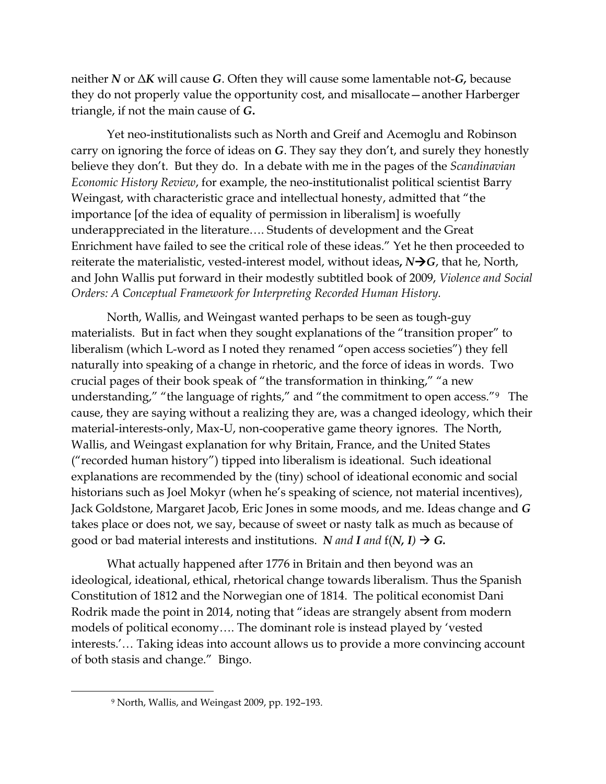neither *N* or Δ*K* will cause *G*. Often they will cause some lamentable not-*G,* because they do not properly value the opportunity cost, and misallocate—another Harberger triangle, if not the main cause of *G***.**

Yet neo-institutionalists such as North and Greif and Acemoglu and Robinson carry on ignoring the force of ideas on *G*. They say they don't, and surely they honestly believe they don't. But they do. In a debate with me in the pages of the *Scandinavian Economic History Review*, for example, the neo-institutionalist political scientist Barry Weingast, with characteristic grace and intellectual honesty, admitted that "the importance [of the idea of equality of permission in liberalism] is woefully underappreciated in the literature…. Students of development and the Great Enrichment have failed to see the critical role of these ideas." Yet he then proceeded to reiterate the materialistic, vested-interest model, without ideas,  $N\rightarrow G$ , that he, North, and John Wallis put forward in their modestly subtitled book of 2009, *Violence and Social Orders: A Conceptual Framework for Interpreting Recorded Human History.* 

North, Wallis, and Weingast wanted perhaps to be seen as tough-guy materialists. But in fact when they sought explanations of the "transition proper" to liberalism (which L-word as I noted they renamed "open access societies") they fell naturally into speaking of a change in rhetoric, and the force of ideas in words. Two crucial pages of their book speak of "the transformation in thinking," "a new understanding," "the language of rights," and "the commitment to open access."9 The cause, they are saying without a realizing they are, was a changed ideology, which their material-interests-only, Max-U, non-cooperative game theory ignores. The North, Wallis, and Weingast explanation for why Britain, France, and the United States ("recorded human history") tipped into liberalism is ideational. Such ideational explanations are recommended by the (tiny) school of ideational economic and social historians such as Joel Mokyr (when he's speaking of science, not material incentives), Jack Goldstone, Margaret Jacob, Eric Jones in some moods, and me. Ideas change and *G*  takes place or does not, we say, because of sweet or nasty talk as much as because of good or bad material interests and institutions. *N* and **I** and  $f(N, I) \rightarrow G$ .

What actually happened after 1776 in Britain and then beyond was an ideological, ideational, ethical, rhetorical change towards liberalism. Thus the Spanish Constitution of 1812 and the Norwegian one of 1814. The political economist Dani Rodrik made the point in 2014, noting that "ideas are strangely absent from modern models of political economy…. The dominant role is instead played by 'vested interests.'… Taking ideas into account allows us to provide a more convincing account of both stasis and change." Bingo.

<sup>9</sup> North, Wallis, and Weingast 2009, pp. 192–193.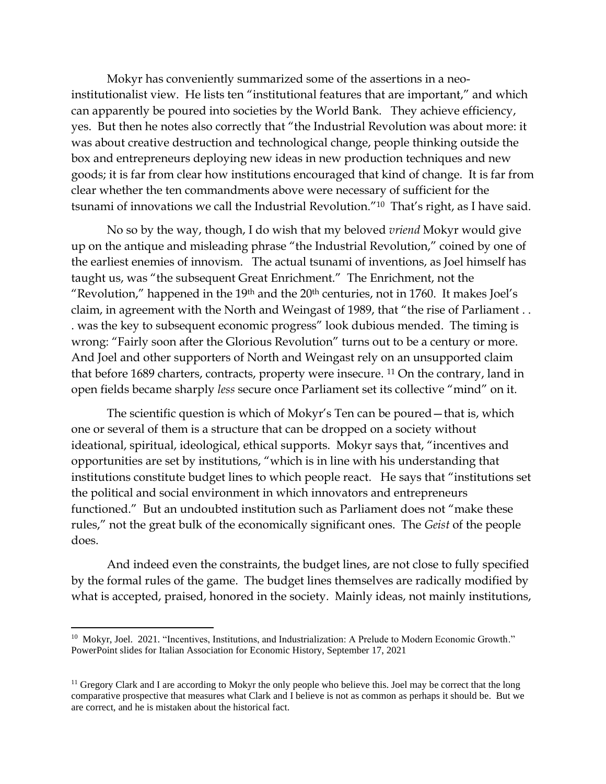Mokyr has conveniently summarized some of the assertions in a neoinstitutionalist view. He lists ten "institutional features that are important," and which can apparently be poured into societies by the World Bank. They achieve efficiency, yes. But then he notes also correctly that "the Industrial Revolution was about more: it was about creative destruction and technological change, people thinking outside the box and entrepreneurs deploying new ideas in new production techniques and new goods; it is far from clear how institutions encouraged that kind of change. It is far from clear whether the ten commandments above were necessary of sufficient for the tsunami of innovations we call the Industrial Revolution."<sup>10</sup> That's right, as I have said.

No so by the way, though, I do wish that my beloved *vriend* Mokyr would give up on the antique and misleading phrase "the Industrial Revolution," coined by one of the earliest enemies of innovism. The actual tsunami of inventions, as Joel himself has taught us, was "the subsequent Great Enrichment." The Enrichment, not the "Revolution," happened in the  $19<sup>th</sup>$  and the  $20<sup>th</sup>$  centuries, not in 1760. It makes Joel's claim, in agreement with the North and Weingast of 1989, that "the rise of Parliament . . . was the key to subsequent economic progress" look dubious mended. The timing is wrong: "Fairly soon after the Glorious Revolution" turns out to be a century or more. And Joel and other supporters of North and Weingast rely on an unsupported claim that before 1689 charters, contracts, property were insecure. <sup>11</sup> On the contrary, land in open fields became sharply *less* secure once Parliament set its collective "mind" on it.

The scientific question is which of Mokyr's Ten can be poured—that is, which one or several of them is a structure that can be dropped on a society without ideational, spiritual, ideological, ethical supports. Mokyr says that, "incentives and opportunities are set by institutions, "which is in line with his understanding that institutions constitute budget lines to which people react. He says that "institutions set the political and social environment in which innovators and entrepreneurs functioned." But an undoubted institution such as Parliament does not "make these rules," not the great bulk of the economically significant ones. The *Geist* of the people does.

And indeed even the constraints, the budget lines, are not close to fully specified by the formal rules of the game. The budget lines themselves are radically modified by what is accepted, praised, honored in the society. Mainly ideas, not mainly institutions,

<sup>&</sup>lt;sup>10</sup> Mokyr, Joel. 2021. "Incentives, Institutions, and Industrialization: A Prelude to Modern Economic Growth." PowerPoint slides for Italian Association for Economic History, September 17, 2021

<sup>&</sup>lt;sup>11</sup> Gregory Clark and I are according to Mokyr the only people who believe this. Joel may be correct that the long comparative prospective that measures what Clark and I believe is not as common as perhaps it should be. But we are correct, and he is mistaken about the historical fact.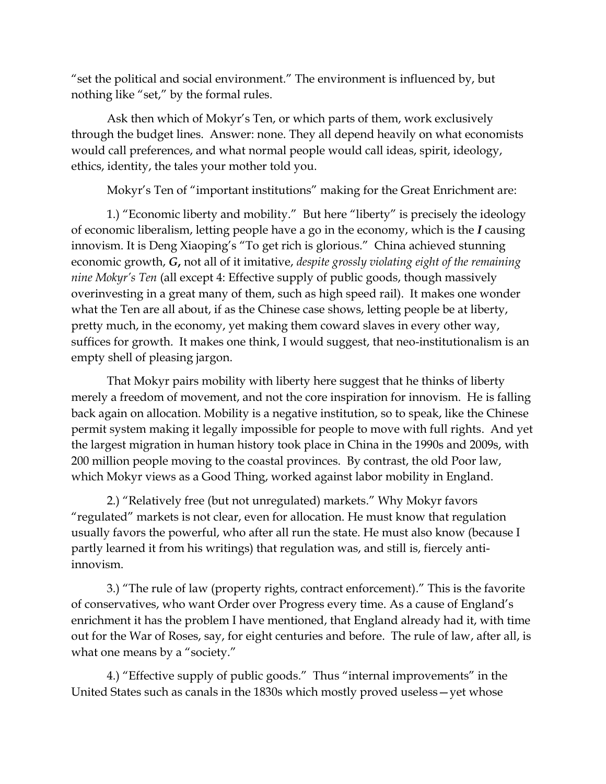"set the political and social environment." The environment is influenced by, but nothing like "set," by the formal rules.

Ask then which of Mokyr's Ten, or which parts of them, work exclusively through the budget lines. Answer: none. They all depend heavily on what economists would call preferences, and what normal people would call ideas, spirit, ideology, ethics, identity, the tales your mother told you.

Mokyr's Ten of "important institutions" making for the Great Enrichment are:

1.) "Economic liberty and mobility." But here "liberty" is precisely the ideology of economic liberalism, letting people have a go in the economy, which is the *I* causing innovism. It is Deng Xiaoping's "To get rich is glorious." China achieved stunning economic growth, *G***,** not all of it imitative, *despite grossly violating eight of the remaining nine Mokyr's Ten* (all except 4: Effective supply of public goods, though massively overinvesting in a great many of them, such as high speed rail). It makes one wonder what the Ten are all about, if as the Chinese case shows, letting people be at liberty, pretty much, in the economy, yet making them coward slaves in every other way, suffices for growth. It makes one think, I would suggest, that neo-institutionalism is an empty shell of pleasing jargon.

That Mokyr pairs mobility with liberty here suggest that he thinks of liberty merely a freedom of movement, and not the core inspiration for innovism. He is falling back again on allocation. Mobility is a negative institution, so to speak, like the Chinese permit system making it legally impossible for people to move with full rights. And yet the largest migration in human history took place in China in the 1990s and 2009s, with 200 million people moving to the coastal provinces. By contrast, the old Poor law, which Mokyr views as a Good Thing, worked against labor mobility in England.

2.) "Relatively free (but not unregulated) markets." Why Mokyr favors "regulated" markets is not clear, even for allocation. He must know that regulation usually favors the powerful, who after all run the state. He must also know (because I partly learned it from his writings) that regulation was, and still is, fiercely antiinnovism.

3.) "The rule of law (property rights, contract enforcement)." This is the favorite of conservatives, who want Order over Progress every time. As a cause of England's enrichment it has the problem I have mentioned, that England already had it, with time out for the War of Roses, say, for eight centuries and before. The rule of law, after all, is what one means by a "society."

4.) "Effective supply of public goods." Thus "internal improvements" in the United States such as canals in the 1830s which mostly proved useless—yet whose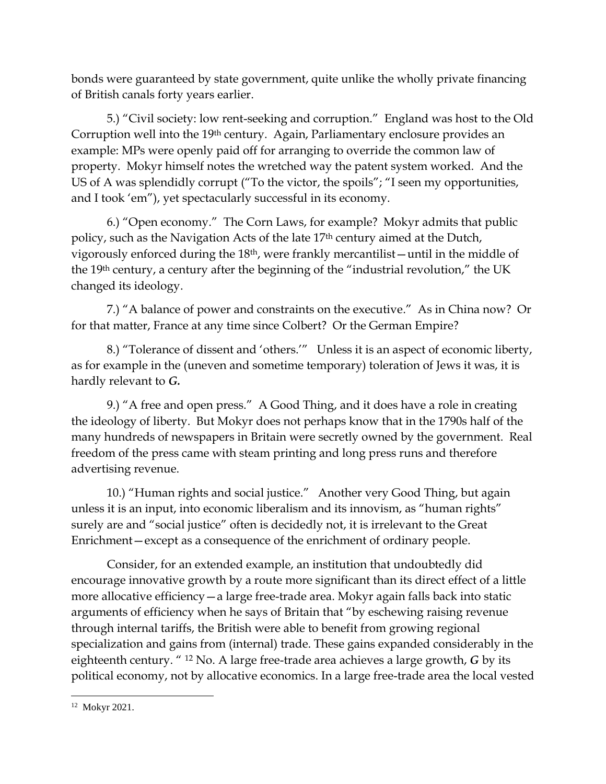bonds were guaranteed by state government, quite unlike the wholly private financing of British canals forty years earlier.

5.) "Civil society: low rent-seeking and corruption." England was host to the Old Corruption well into the 19<sup>th</sup> century. Again, Parliamentary enclosure provides an example: MPs were openly paid off for arranging to override the common law of property. Mokyr himself notes the wretched way the patent system worked. And the US of A was splendidly corrupt ("To the victor, the spoils"; "I seen my opportunities, and I took 'em"), yet spectacularly successful in its economy.

6.) "Open economy." The Corn Laws, for example? Mokyr admits that public policy, such as the Navigation Acts of the late 17th century aimed at the Dutch, vigorously enforced during the 18th, were frankly mercantilist—until in the middle of the 19<sup>th</sup> century, a century after the beginning of the "industrial revolution," the UK changed its ideology.

7.) "A balance of power and constraints on the executive." As in China now? Or for that matter, France at any time since Colbert? Or the German Empire?

8.) "Tolerance of dissent and 'others.'" Unless it is an aspect of economic liberty, as for example in the (uneven and sometime temporary) toleration of Jews it was, it is hardly relevant to *G.*

9.) "A free and open press." A Good Thing, and it does have a role in creating the ideology of liberty. But Mokyr does not perhaps know that in the 1790s half of the many hundreds of newspapers in Britain were secretly owned by the government. Real freedom of the press came with steam printing and long press runs and therefore advertising revenue.

10.) "Human rights and social justice." Another very Good Thing, but again unless it is an input, into economic liberalism and its innovism, as "human rights" surely are and "social justice" often is decidedly not, it is irrelevant to the Great Enrichment—except as a consequence of the enrichment of ordinary people.

Consider, for an extended example, an institution that undoubtedly did encourage innovative growth by a route more significant than its direct effect of a little more allocative efficiency—a large free-trade area. Mokyr again falls back into static arguments of efficiency when he says of Britain that "by eschewing raising revenue through internal tariffs, the British were able to benefit from growing regional specialization and gains from (internal) trade. These gains expanded considerably in the eighteenth century. " <sup>12</sup> No. A large free-trade area achieves a large growth, *G* by its political economy, not by allocative economics. In a large free-trade area the local vested

<sup>12</sup> Mokyr 2021.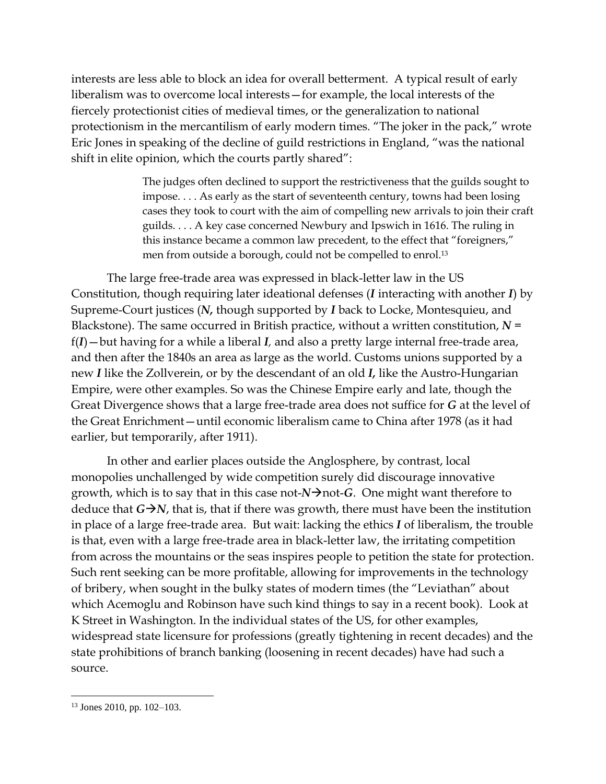interests are less able to block an idea for overall betterment. A typical result of early liberalism was to overcome local interests—for example, the local interests of the fiercely protectionist cities of medieval times, or the generalization to national protectionism in the mercantilism of early modern times. "The joker in the pack," wrote Eric Jones in speaking of the decline of guild restrictions in England, "was the national shift in elite opinion, which the courts partly shared":

> The judges often declined to support the restrictiveness that the guilds sought to impose. . . . As early as the start of seventeenth century, towns had been losing cases they took to court with the aim of compelling new arrivals to join their craft guilds. . . . A key case concerned Newbury and Ipswich in 1616. The ruling in this instance became a common law precedent, to the effect that "foreigners," men from outside a borough, could not be compelled to enrol.<sup>13</sup>

The large free-trade area was expressed in black-letter law in the US Constitution, though requiring later ideational defenses (*I* interacting with another *I*) by Supreme-Court justices (*N,* though supported by *I* back to Locke, Montesquieu, and Blackstone). The same occurred in British practice, without a written constitution,  $N =$ f(*I*)—but having for a while a liberal *I,* and also a pretty large internal free-trade area, and then after the 1840s an area as large as the world. Customs unions supported by a new *I* like the Zollverein, or by the descendant of an old *I,* like the Austro-Hungarian Empire, were other examples. So was the Chinese Empire early and late, though the Great Divergence shows that a large free-trade area does not suffice for *G* at the level of the Great Enrichment—until economic liberalism came to China after 1978 (as it had earlier, but temporarily, after 1911).

In other and earlier places outside the Anglosphere, by contrast, local monopolies unchallenged by wide competition surely did discourage innovative growth, which is to say that in this case not-*N*→not-*G*. One might want therefore to deduce that  $G\rightarrow N$ , that is, that if there was growth, there must have been the institution in place of a large free-trade area. But wait: lacking the ethics *I* of liberalism, the trouble is that, even with a large free-trade area in black-letter law, the irritating competition from across the mountains or the seas inspires people to petition the state for protection. Such rent seeking can be more profitable, allowing for improvements in the technology of bribery, when sought in the bulky states of modern times (the "Leviathan" about which Acemoglu and Robinson have such kind things to say in a recent book). Look at K Street in Washington. In the individual states of the US, for other examples, widespread state licensure for professions (greatly tightening in recent decades) and the state prohibitions of branch banking (loosening in recent decades) have had such a source.

<sup>13</sup> Jones 2010, pp. 102–103.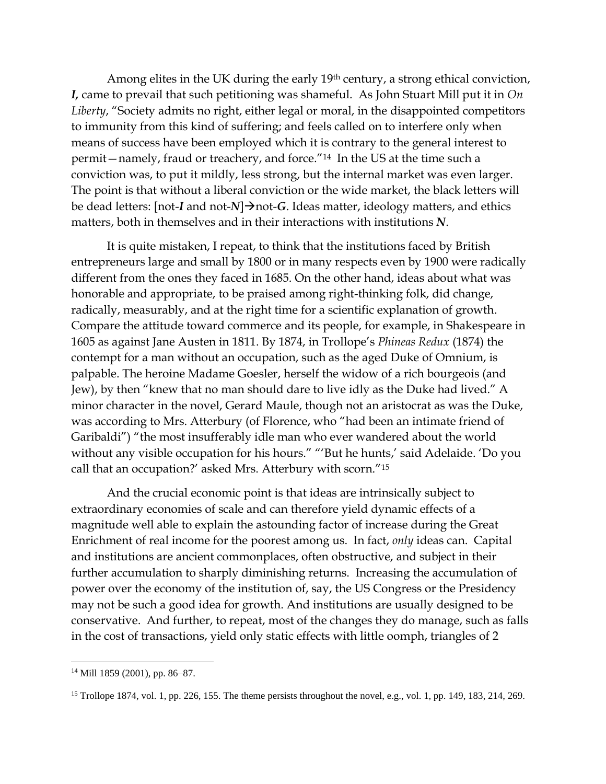Among elites in the UK during the early 19th century, a strong ethical conviction, *I,* came to prevail that such petitioning was shameful. As John Stuart Mill put it in *On Liberty*, "Society admits no right, either legal or moral, in the disappointed competitors to immunity from this kind of suffering; and feels called on to interfere only when means of success have been employed which it is contrary to the general interest to permit—namely, fraud or treachery, and force."14 In the US at the time such a conviction was, to put it mildly, less strong, but the internal market was even larger. The point is that without a liberal conviction or the wide market, the black letters will be dead letters: [not-*I* and not-*N*]→not-*G*. Ideas matter, ideology matters, and ethics matters, both in themselves and in their interactions with institutions *N*.

It is quite mistaken, I repeat, to think that the institutions faced by British entrepreneurs large and small by 1800 or in many respects even by 1900 were radically different from the ones they faced in 1685. On the other hand, ideas about what was honorable and appropriate, to be praised among right-thinking folk, did change, radically, measurably, and at the right time for a scientific explanation of growth. Compare the attitude toward commerce and its people, for example, in Shakespeare in 1605 as against Jane Austen in 1811. By 1874, in Trollope's *Phineas Redux* (1874) the contempt for a man without an occupation, such as the aged Duke of Omnium, is palpable. The heroine Madame Goesler, herself the widow of a rich bourgeois (and Jew), by then "knew that no man should dare to live idly as the Duke had lived." A minor character in the novel, Gerard Maule, though not an aristocrat as was the Duke, was according to Mrs. Atterbury (of Florence, who "had been an intimate friend of Garibaldi") "the most insufferably idle man who ever wandered about the world without any visible occupation for his hours." "'But he hunts,' said Adelaide. 'Do you call that an occupation?' asked Mrs. Atterbury with scorn."<sup>15</sup>

And the crucial economic point is that ideas are intrinsically subject to extraordinary economies of scale and can therefore yield dynamic effects of a magnitude well able to explain the astounding factor of increase during the Great Enrichment of real income for the poorest among us. In fact, *only* ideas can. Capital and institutions are ancient commonplaces, often obstructive, and subject in their further accumulation to sharply diminishing returns. Increasing the accumulation of power over the economy of the institution of, say, the US Congress or the Presidency may not be such a good idea for growth. And institutions are usually designed to be conservative. And further, to repeat, most of the changes they do manage, such as falls in the cost of transactions, yield only static effects with little oomph, triangles of 2

<sup>14</sup> Mill 1859 (2001), pp. 86–87.

<sup>&</sup>lt;sup>15</sup> Trollope 1874, vol. 1, pp. 226, 155. The theme persists throughout the novel, e.g., vol. 1, pp. 149, 183, 214, 269.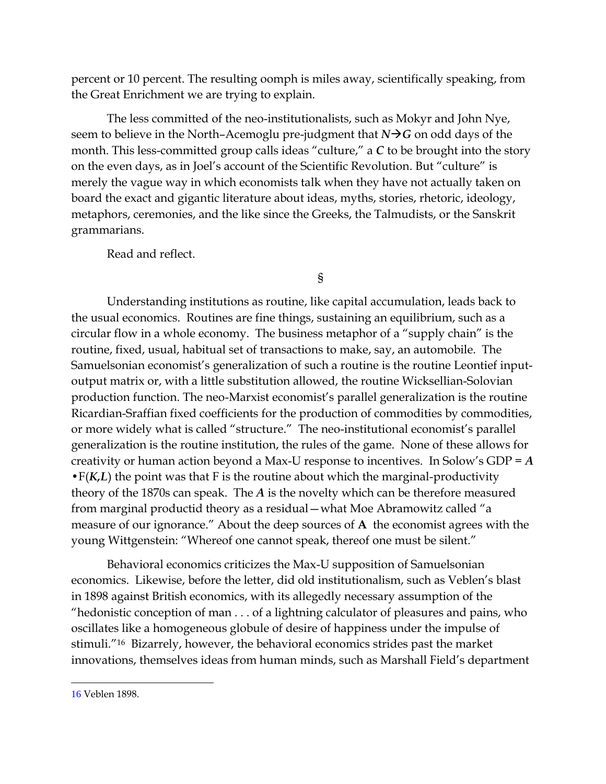percent or 10 percent. The resulting oomph is miles away, scientifically speaking, from the Great Enrichment we are trying to explain.

The less committed of the neo-institutionalists, such as Mokyr and John Nye, seem to believe in the North–Acemoglu pre-judgment that  $N\rightarrow G$  on odd days of the month. This less-committed group calls ideas "culture," a *C* to be brought into the story on the even days, as in Joel's account of the Scientific Revolution. But "culture" is merely the vague way in which economists talk when they have not actually taken on board the exact and gigantic literature about ideas, myths, stories, rhetoric, ideology, metaphors, ceremonies, and the like since the Greeks, the Talmudists, or the Sanskrit grammarians.

Read and reflect.

§

Understanding institutions as routine, like capital accumulation, leads back to the usual economics. Routines are fine things, sustaining an equilibrium, such as a circular flow in a whole economy. The business metaphor of a "supply chain" is the routine, fixed, usual, habitual set of transactions to make, say, an automobile. The Samuelsonian economist's generalization of such a routine is the routine Leontief inputoutput matrix or, with a little substitution allowed, the routine Wicksellian-Solovian production function. The neo-Marxist economist's parallel generalization is the routine Ricardian-Sraffian fixed coefficients for the production of commodities by commodities, or more widely what is called "structure." The neo-institutional economist's parallel generalization is the routine institution, the rules of the game. None of these allows for creativity or human action beyond a Max-U response to incentives. In Solow's GDP = *A* **•**F(*K,L*) the point was that F is the routine about which the marginal-productivity theory of the 1870s can speak. The *A* is the novelty which can be therefore measured from marginal productid theory as a residual—what Moe Abramowitz called "a measure of our ignorance." About the deep sources of **A** the economist agrees with the young Wittgenstein: "Whereof one cannot speak, thereof one must be silent."

Behavioral economics criticizes the Max-U supposition of Samuelsonian economics. Likewise, before the letter, did old institutionalism, such as Veblen's blast in 1898 against British economics, with its allegedly necessary assumption of the "hedonistic conception of man . . . of a lightning calculator of pleasures and pains, who oscillates like a homogeneous globule of desire of happiness under the impulse of stimuli."<sup>16</sup> Bizarrely, however, the behavioral economics strides past the market innovations, themselves ideas from human minds, such as Marshall Field's department

<sup>16</sup> Veblen 1898.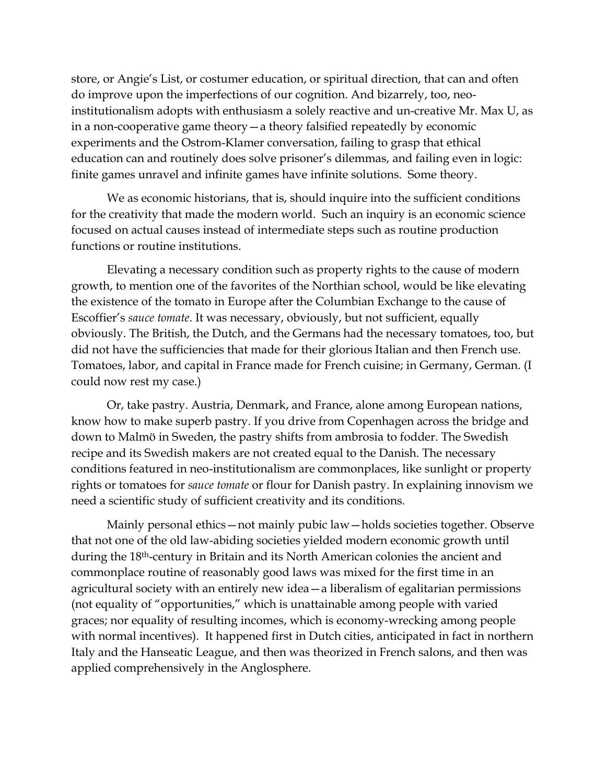store, or Angie's List, or costumer education, or spiritual direction, that can and often do improve upon the imperfections of our cognition. And bizarrely, too, neoinstitutionalism adopts with enthusiasm a solely reactive and un-creative Mr. Max U, as in a non-cooperative game theory—a theory falsified repeatedly by economic experiments and the Ostrom-Klamer conversation, failing to grasp that ethical education can and routinely does solve prisoner's dilemmas, and failing even in logic: finite games unravel and infinite games have infinite solutions. Some theory.

We as economic historians, that is, should inquire into the sufficient conditions for the creativity that made the modern world. Such an inquiry is an economic science focused on actual causes instead of intermediate steps such as routine production functions or routine institutions.

Elevating a necessary condition such as property rights to the cause of modern growth, to mention one of the favorites of the Northian school, would be like elevating the existence of the tomato in Europe after the Columbian Exchange to the cause of Escoffier's *sauce tomate*. It was necessary, obviously, but not sufficient, equally obviously. The British, the Dutch, and the Germans had the necessary tomatoes, too, but did not have the sufficiencies that made for their glorious Italian and then French use. Tomatoes, labor, and capital in France made for French cuisine; in Germany, German. (I could now rest my case.)

Or, take pastry. Austria, Denmark, and France, alone among European nations, know how to make superb pastry. If you drive from Copenhagen across the bridge and down to Malmö in Sweden, the pastry shifts from ambrosia to fodder. The Swedish recipe and its Swedish makers are not created equal to the Danish. The necessary conditions featured in neo-institutionalism are commonplaces, like sunlight or property rights or tomatoes for *sauce tomate* or flour for Danish pastry. In explaining innovism we need a scientific study of sufficient creativity and its conditions.

Mainly personal ethics—not mainly pubic law—holds societies together. Observe that not one of the old law-abiding societies yielded modern economic growth until during the 18th-century in Britain and its North American colonies the ancient and commonplace routine of reasonably good laws was mixed for the first time in an agricultural society with an entirely new idea—a liberalism of egalitarian permissions (not equality of "opportunities," which is unattainable among people with varied graces; nor equality of resulting incomes, which is economy-wrecking among people with normal incentives). It happened first in Dutch cities, anticipated in fact in northern Italy and the Hanseatic League, and then was theorized in French salons, and then was applied comprehensively in the Anglosphere.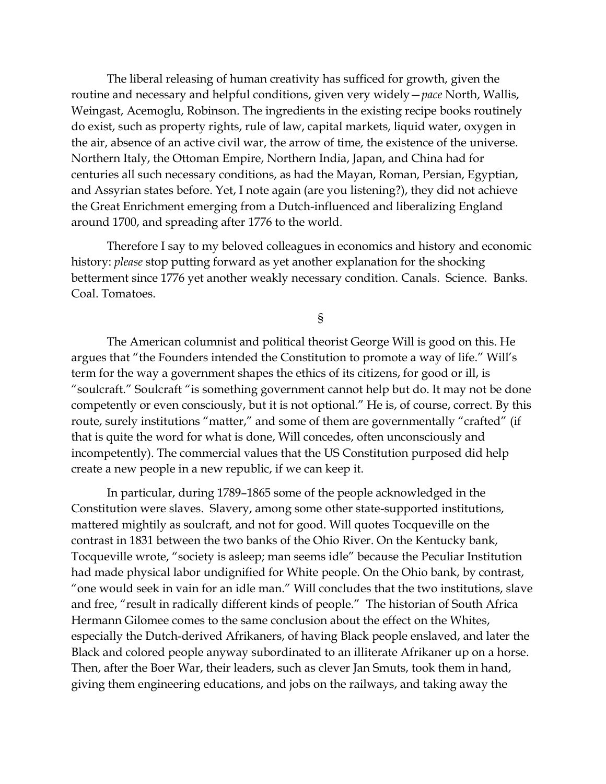The liberal releasing of human creativity has sufficed for growth, given the routine and necessary and helpful conditions, given very widely—*pace* North, Wallis, Weingast, Acemoglu, Robinson. The ingredients in the existing recipe books routinely do exist, such as property rights, rule of law, capital markets, liquid water, oxygen in the air, absence of an active civil war, the arrow of time, the existence of the universe. Northern Italy, the Ottoman Empire, Northern India, Japan, and China had for centuries all such necessary conditions, as had the Mayan, Roman, Persian, Egyptian, and Assyrian states before. Yet, I note again (are you listening?), they did not achieve the Great Enrichment emerging from a Dutch-influenced and liberalizing England around 1700, and spreading after 1776 to the world.

Therefore I say to my beloved colleagues in economics and history and economic history: *please* stop putting forward as yet another explanation for the shocking betterment since 1776 yet another weakly necessary condition. Canals. Science. Banks. Coal. Tomatoes.

§

The American columnist and political theorist George Will is good on this. He argues that "the Founders intended the Constitution to promote a way of life." Will's term for the way a government shapes the ethics of its citizens, for good or ill, is "soulcraft." Soulcraft "is something government cannot help but do. It may not be done competently or even consciously, but it is not optional." He is, of course, correct. By this route, surely institutions "matter," and some of them are governmentally "crafted" (if that is quite the word for what is done, Will concedes, often unconsciously and incompetently). The commercial values that the US Constitution purposed did help create a new people in a new republic, if we can keep it.

In particular, during 1789–1865 some of the people acknowledged in the Constitution were slaves. Slavery, among some other state-supported institutions, mattered mightily as soulcraft, and not for good. Will quotes Tocqueville on the contrast in 1831 between the two banks of the Ohio River. On the Kentucky bank, Tocqueville wrote, "society is asleep; man seems idle" because the Peculiar Institution had made physical labor undignified for White people. On the Ohio bank, by contrast, "one would seek in vain for an idle man." Will concludes that the two institutions, slave and free, "result in radically different kinds of people." The historian of South Africa Hermann Gilomee comes to the same conclusion about the effect on the Whites, especially the Dutch-derived Afrikaners, of having Black people enslaved, and later the Black and colored people anyway subordinated to an illiterate Afrikaner up on a horse. Then, after the Boer War, their leaders, such as clever Jan Smuts, took them in hand, giving them engineering educations, and jobs on the railways, and taking away the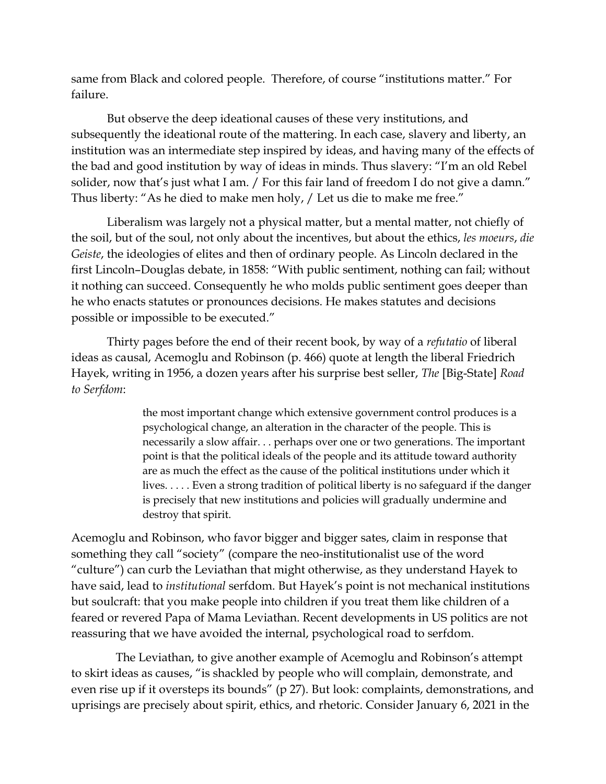same from Black and colored people. Therefore, of course "institutions matter." For failure.

But observe the deep ideational causes of these very institutions, and subsequently the ideational route of the mattering. In each case, slavery and liberty, an institution was an intermediate step inspired by ideas, and having many of the effects of the bad and good institution by way of ideas in minds. Thus slavery: "I'm an old Rebel solider, now that's just what I am. / For this fair land of freedom I do not give a damn." Thus liberty: "As he died to make men holy, / Let us die to make me free."

Liberalism was largely not a physical matter, but a mental matter, not chiefly of the soil, but of the soul, not only about the incentives, but about the ethics, *les moeurs*, *die Geiste*, the ideologies of elites and then of ordinary people. As Lincoln declared in the first Lincoln–Douglas debate, in 1858: "With public sentiment, nothing can fail; without it nothing can succeed. Consequently he who molds public sentiment goes deeper than he who enacts statutes or pronounces decisions. He makes statutes and decisions possible or impossible to be executed."

Thirty pages before the end of their recent book, by way of a *refutatio* of liberal ideas as causal, Acemoglu and Robinson (p. 466) quote at length the liberal Friedrich Hayek, writing in 1956, a dozen years after his surprise best seller, *The* [Big-State] *Road to Serfdom*:

> the most important change which extensive government control produces is a psychological change, an alteration in the character of the people. This is necessarily a slow affair. . . perhaps over one or two generations. The important point is that the political ideals of the people and its attitude toward authority are as much the effect as the cause of the political institutions under which it lives. . . . . Even a strong tradition of political liberty is no safeguard if the danger is precisely that new institutions and policies will gradually undermine and destroy that spirit.

Acemoglu and Robinson, who favor bigger and bigger sates, claim in response that something they call "society" (compare the neo-institutionalist use of the word "culture") can curb the Leviathan that might otherwise, as they understand Hayek to have said, lead to *institutional* serfdom. But Hayek's point is not mechanical institutions but soulcraft: that you make people into children if you treat them like children of a feared or revered Papa of Mama Leviathan. Recent developments in US politics are not reassuring that we have avoided the internal, psychological road to serfdom.

The Leviathan, to give another example of Acemoglu and Robinson's attempt to skirt ideas as causes, "is shackled by people who will complain, demonstrate, and even rise up if it oversteps its bounds" (p 27). But look: complaints, demonstrations, and uprisings are precisely about spirit, ethics, and rhetoric. Consider January 6, 2021 in the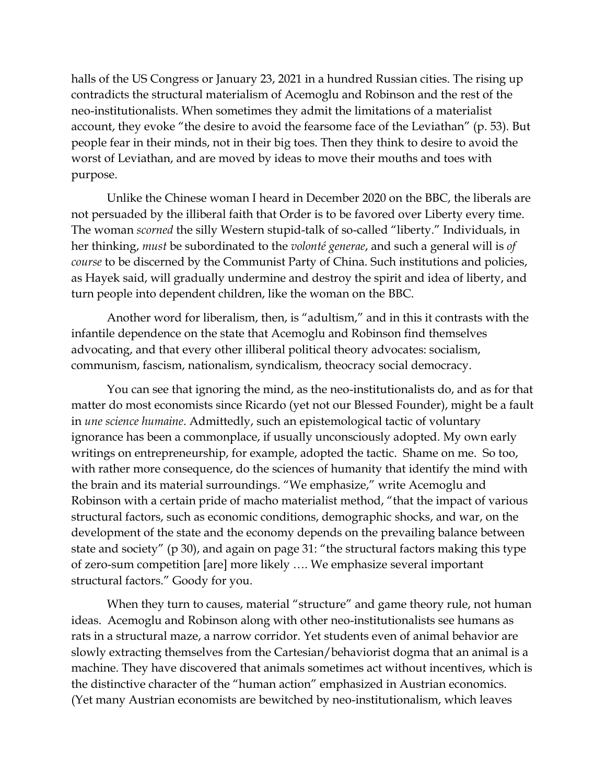halls of the US Congress or January 23, 2021 in a hundred Russian cities. The rising up contradicts the structural materialism of Acemoglu and Robinson and the rest of the neo-institutionalists. When sometimes they admit the limitations of a materialist account, they evoke "the desire to avoid the fearsome face of the Leviathan" (p. 53). But people fear in their minds, not in their big toes. Then they think to desire to avoid the worst of Leviathan, and are moved by ideas to move their mouths and toes with purpose.

Unlike the Chinese woman I heard in December 2020 on the BBC, the liberals are not persuaded by the illiberal faith that Order is to be favored over Liberty every time. The woman *scorned* the silly Western stupid-talk of so-called "liberty." Individuals, in her thinking, *must* be subordinated to the *volonté generae*, and such a general will is *of course* to be discerned by the Communist Party of China. Such institutions and policies, as Hayek said, will gradually undermine and destroy the spirit and idea of liberty, and turn people into dependent children, like the woman on the BBC.

Another word for liberalism, then, is "adultism," and in this it contrasts with the infantile dependence on the state that Acemoglu and Robinson find themselves advocating, and that every other illiberal political theory advocates: socialism, communism, fascism, nationalism, syndicalism, theocracy social democracy.

You can see that ignoring the mind, as the neo-institutionalists do, and as for that matter do most economists since Ricardo (yet not our Blessed Founder), might be a fault in *une science humaine*. Admittedly, such an epistemological tactic of voluntary ignorance has been a commonplace, if usually unconsciously adopted. My own early writings on entrepreneurship, for example, adopted the tactic. Shame on me. So too, with rather more consequence, do the sciences of humanity that identify the mind with the brain and its material surroundings. "We emphasize," write Acemoglu and Robinson with a certain pride of macho materialist method, "that the impact of various structural factors, such as economic conditions, demographic shocks, and war, on the development of the state and the economy depends on the prevailing balance between state and society" (p 30), and again on page 31: "the structural factors making this type of zero-sum competition [are] more likely …. We emphasize several important structural factors." Goody for you.

When they turn to causes, material "structure" and game theory rule, not human ideas. Acemoglu and Robinson along with other neo-institutionalists see humans as rats in a structural maze, a narrow corridor. Yet students even of animal behavior are slowly extracting themselves from the Cartesian/behaviorist dogma that an animal is a machine. They have discovered that animals sometimes act without incentives, which is the distinctive character of the "human action" emphasized in Austrian economics. (Yet many Austrian economists are bewitched by neo-institutionalism, which leaves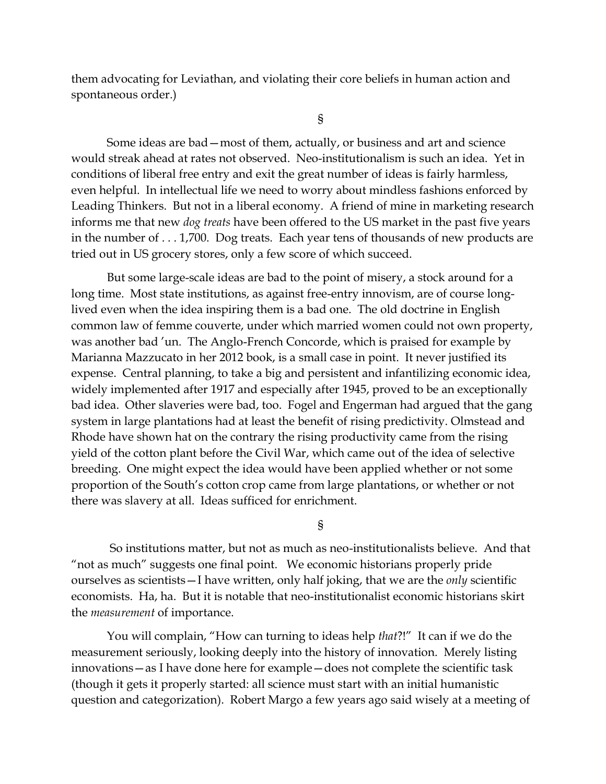them advocating for Leviathan, and violating their core beliefs in human action and spontaneous order.)

§

Some ideas are bad—most of them, actually, or business and art and science would streak ahead at rates not observed. Neo-institutionalism is such an idea. Yet in conditions of liberal free entry and exit the great number of ideas is fairly harmless, even helpful. In intellectual life we need to worry about mindless fashions enforced by Leading Thinkers. But not in a liberal economy. A friend of mine in marketing research informs me that new *dog treats* have been offered to the US market in the past five years in the number of . . . 1,700. Dog treats. Each year tens of thousands of new products are tried out in US grocery stores, only a few score of which succeed.

But some large-scale ideas are bad to the point of misery, a stock around for a long time. Most state institutions, as against free-entry innovism, are of course longlived even when the idea inspiring them is a bad one. The old doctrine in English common law of femme couverte, under which married women could not own property, was another bad 'un. The Anglo-French Concorde, which is praised for example by Marianna Mazzucato in her 2012 book, is a small case in point. It never justified its expense.Central planning, to take a big and persistent and infantilizing economic idea, widely implemented after 1917 and especially after 1945, proved to be an exceptionally bad idea. Other slaveries were bad, too. Fogel and Engerman had argued that the gang system in large plantations had at least the benefit of rising predictivity. Olmstead and Rhode have shown hat on the contrary the rising productivity came from the rising yield of the cotton plant before the Civil War, which came out of the idea of selective breeding. One might expect the idea would have been applied whether or not some proportion of the South's cotton crop came from large plantations, or whether or not there was slavery at all. Ideas sufficed for enrichment.

§

So institutions matter, but not as much as neo-institutionalists believe. And that "not as much" suggests one final point. We economic historians properly pride ourselves as scientists—I have written, only half joking, that we are the *only* scientific economists. Ha, ha. But it is notable that neo-institutionalist economic historians skirt the *measurement* of importance.

You will complain, "How can turning to ideas help *that*?!" It can if we do the measurement seriously, looking deeply into the history of innovation. Merely listing innovations—as I have done here for example—does not complete the scientific task (though it gets it properly started: all science must start with an initial humanistic question and categorization). Robert Margo a few years ago said wisely at a meeting of